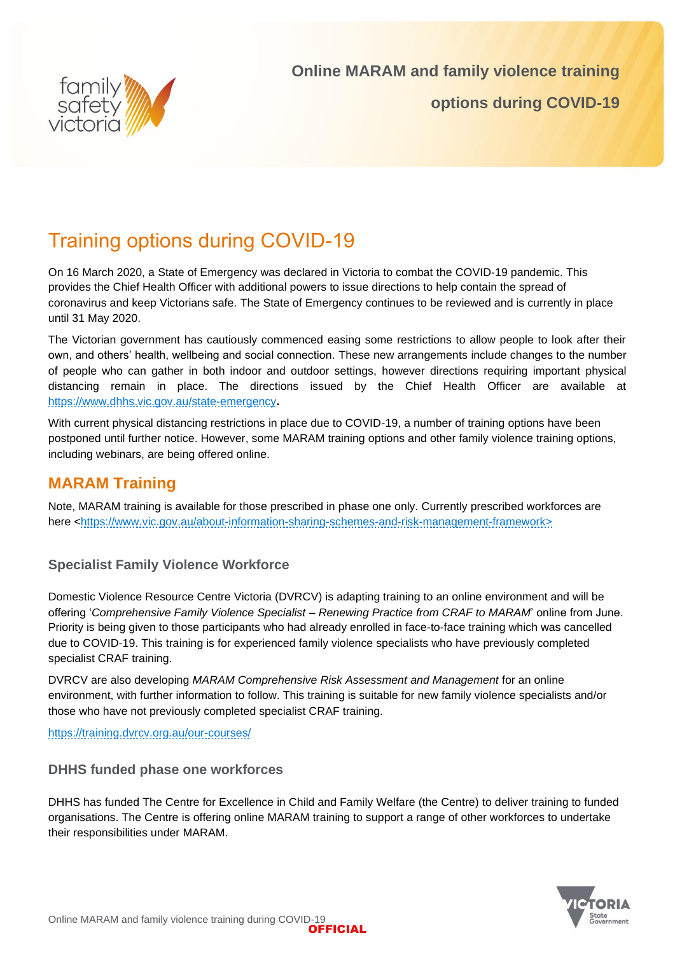

# Training options during COVID-19

On 16 March 2020, a State of Emergency was declared in Victoria to combat the COVID-19 pandemic. This provides the Chief Health Officer with additional powers to issue directions to help contain the spread of coronavirus and keep Victorians safe. The State of Emergency continues to be reviewed and is currently in place until 31 May 2020.

The Victorian government has cautiously commenced easing some restrictions to allow people to look after their own, and others' health, wellbeing and social connection. These new arrangements include changes to the number of people who can gather in both indoor and outdoor settings, however directions requiring important physical distancing remain in place. The directions issued by the Chief Health Officer are available at <https://www.dhhs.vic.gov.au/state-emergency>**.**

With current physical distancing restrictions in place due to COVID-19, a number of training options have been postponed until further notice. However, some MARAM training options and other family violence training options, including webinars, are being offered online.

## **MARAM Training**

Note, MARAM training is available for those prescribed in phase one only. Currently prescribed workforces are here [<https://www.vic.gov.au/about-information-sharing-schemes-and-risk-management-framework>](https://www.vic.gov.au/about-information-sharing-schemes-and-risk-management-framework)

### **Specialist Family Violence Workforce**

Domestic Violence Resource Centre Victoria (DVRCV) is adapting training to an online environment and will be offering '*Comprehensive Family Violence Specialist – Renewing Practice from CRAF to MARAM*' online from June. Priority is being given to those participants who had already enrolled in face-to-face training which was cancelled due to COVID-19. This training is for experienced family violence specialists who have previously completed specialist CRAF training.

DVRCV are also developing *MARAM Comprehensive Risk Assessment and Management* for an online environment, with further information to follow. This training is suitable for new family violence specialists and/or those who have not previously completed specialist CRAF training.

<https://training.dvrcv.org.au/our-courses/>

#### **DHHS funded phase one workforces**

DHHS has funded The Centre for Excellence in Child and Family Welfare (the Centre) to deliver training to funded organisations. The Centre is offering online MARAM training to support a range of other workforces to undertake their responsibilities under MARAM.